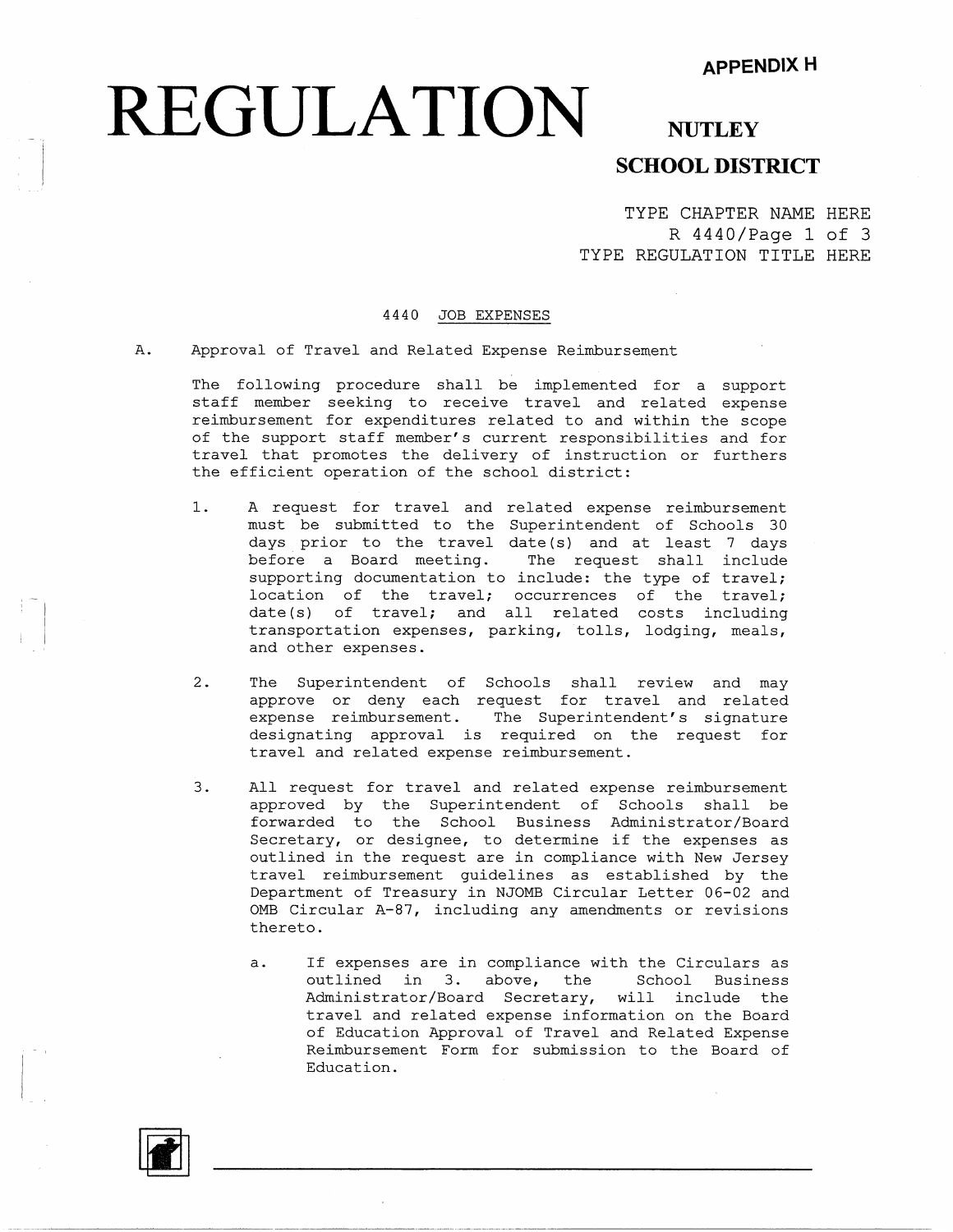## **REGULATION** NUTLEY

## **SCHOOL DISTRICT**

TYPE CHAPTER NAME HERE R 4440/Page 1 of 3 TYPE REGULATION TITLE HERE

#### 4440 JOB EXPENSES

A. Approval of Travel and Related Expense Reimbursement

The following procedure shall be implemented for a support staff member seeking to receive travel and related expense reimbursement for expenditures related to and within the scope of the support staff member's current responsibilities and for travel that promotes the delivery of instruction or furthers the efficient operation of the school district:

- 1. A request for travel and related expense reimbursement must be submitted to the Superintendent of Schools 30 days prior to the travel date (s) and at least 7 days before a Board meeting. The request shall include supporting documentation to include: the type of travel; location of the travel; occurrences of the travel; date(s) of travel; and all related costs including transportation expenses, parking, tolls, lodging, meals, and other expenses.
- 2. The Superintendent of Schools shall review and may approve or deny each request for travel and related expense reimbursement. The Superintendent's signature designating approval is required on the request for travel and related expense reimbursement.
- 3. All request for travel and related expense reimbursement approved by the Superintendent of Schools shall be forwarded to the School Business Administrator/E Secretary, or designee, to determine if the expenses as outlined in the request are in compliance with New Jersey travel reimbursement guidelines as established by the Department of Treasury in NJOMB Circular Letter 06-02 and 0MB Circular A-87, including any amendments or revisions thereto.
	- a. If expenses are in compliance with the Circulars as outlined in 3. above, the School Business Administrator/Board Secretary, will include the travel and related expense information on the Board of Education Approval of Travel and Related Expense Reimbursement Form for submission to the Board of Education.

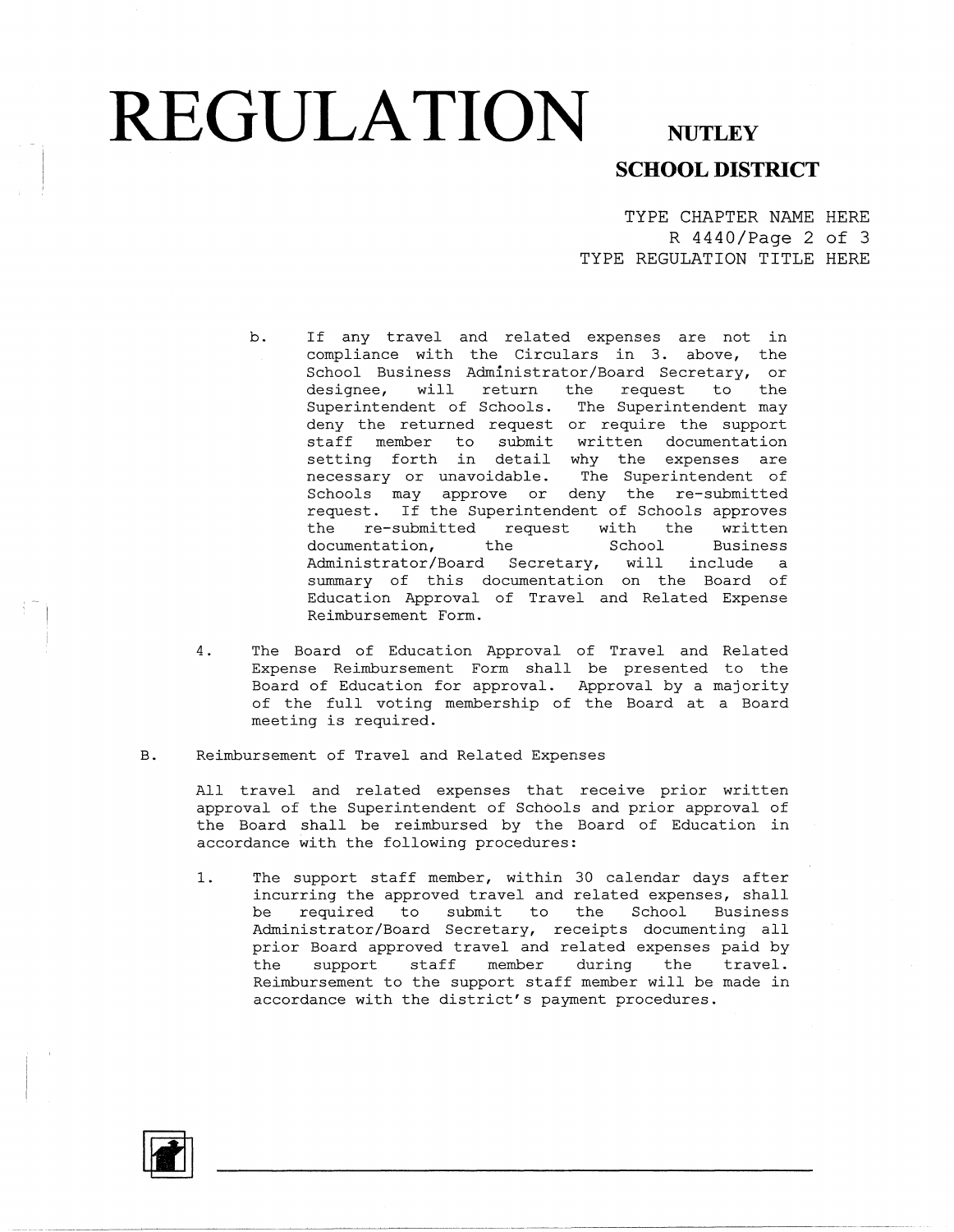## **REGULATION** NUTLEY

### **SCHOOL DISTRICT**

TYPE CHAPTER NAME HERE R 4440/Page 2 of 3 TYPE REGULATION TITLE HERE

- b. If any travel and related expenses are not in compliance with the Circulars in 3. above, the School Business Administrator/Board Secretary, or<br>designee, will return the request to the designee, will return the request to the Superintendent of Schools. The Superintendent may deny the returned request or require the support staff member to submit written documentation setting forth in detail why the expenses are necessary or unavoidable. The Superintendent of Schools may approve or deny the re-submitted request. If the Superintendent of Schools approves the re-submitted request with the written documentation, the School Business Administrator/Board Secretary, will include a summary of this documentation on the Board of Education Approval of Travel and Related Expense Reimbursement Form.
- 4. The Board of Education Approval of Travel and Related Expense Reimbursement Form shall be presented to the Board of Education for approval. Approval by a majority of the full voting membership of the Board at a Board meeting is required.
- B. Reimbursement of Travel and Related Expenses

All travel and related expenses that receive prior written approval of the Superintendent of Schools and prior approval of the Board shall be reimbursed by the Board of Education in accordance with the following procedures:

1. The support staff member, within 30 calendar days after incurring the approved travel and related expenses, shall be required to submit to the School Business Administrator/Board Secretary, receipts documenting all prior Board approved travel and related expenses paid by the support staff member during the travel. Reimbursement to the support staff member will be made in accordance with the district's payment procedures.